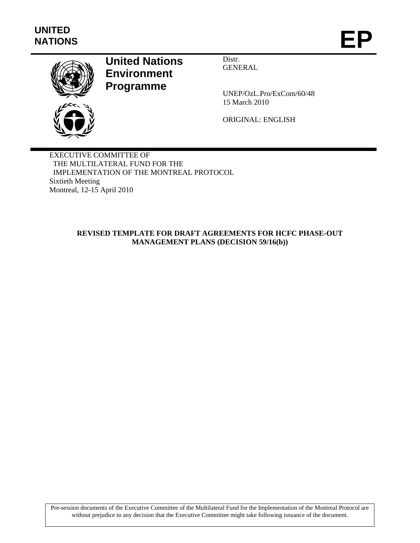

# **United Nations Environment Programme**

Distr. GENERAL

UNEP/OzL.Pro/ExCom/60/48 15 March 2010

ORIGINAL: ENGLISH

EXECUTIVE COMMITTEE OF THE MULTILATERAL FUND FOR THE IMPLEMENTATION OF THE MONTREAL PROTOCOL Sixtieth Meeting Montreal, 12-15 April 2010

## **REVISED TEMPLATE FOR DRAFT AGREEMENTS FOR HCFC PHASE-OUT MANAGEMENT PLANS (DECISION 59/16(b))**

Pre-session documents of the Executive Committee of the Multilateral Fund for the Implementation of the Montreal Protocol are without prejudice to any decision that the Executive Committee might take following issuance of the document.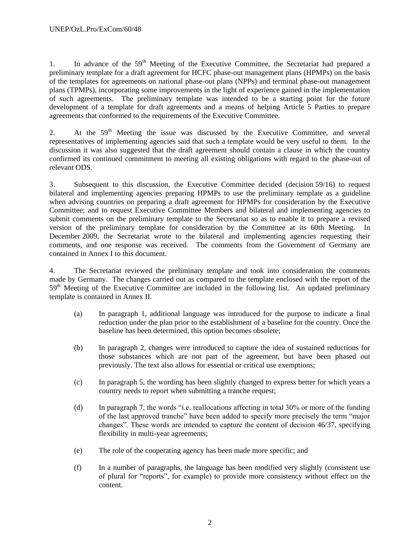1. In advance of the  $59<sup>th</sup>$  Meeting of the Executive Committee, the Secretariat had prepared a preliminary template for a draft agreement for HCFC phase-out management plans (HPMPs) on the basis of the templates for agreements on national phase-out plans (NPPs) and terminal phase-out management plans (TPMPs), incorporating some improvements in the light of experience gained in the implementation of such agreements. The preliminary template was intended to be a starting point for the future development of a template for draft agreements and a means of helping Article 5 Parties to prepare agreements that conformed to the requirements of the Executive Committee.

2. At the 59<sup>th</sup> Meeting the issue was discussed by the Executive Committee, and several representatives of implementing agencies said that such a template would be very useful to them. In the discussion it was also suggested that the draft agreement should contain a clause in which the country confirmed its continued commitment to meeting all existing obligations with regard to the phase-out of relevant ODS.

3. Subsequent to this discussion, the Executive Committee decided (decision 59/16) to request bilateral and implementing agencies preparing HPMPs to use the preliminary template as a guideline when advising countries on preparing a draft agreement for HPMPs for consideration by the Executive Committee; and to request Executive Committee Members and bilateral and implementing agencies to submit comments on the preliminary template to the Secretariat so as to enable it to prepare a revised version of the preliminary template for consideration by the Committee at its 60th Meeting. In December 2009, the Secretariat wrote to the bilateral and implementing agencies requesting their comments, and one response was received. The comments from the Government of Germany are contained in Annex I to this document.

4. The Secretariat reviewed the preliminary template and took into consideration the comments made by Germany. The changes carried out as compared to the template enclosed with the report of the  $59<sup>th</sup>$  Meeting of the Executive Committee are included in the following list. An updated preliminary template is contained in Annex II.

- (a) In paragraph 1, additional language was introduced for the purpose to indicate a final reduction under the plan prior to the establishment of a baseline for the country. Once the baseline has been determined, this option becomes obsolete;
- (b) In paragraph 2, changes were introduced to capture the idea of sustained reductions for those substances which are not part of the agreement, but have been phased out previously. The text also allows for essential or critical use exemptions;
- (c) In paragraph 5, the wording has been slightly changed to express better for which years a country needs to report when submitting a tranche request;
- (d) In paragraph 7, the words "i.e. reallocations affecting in total 30% or more of the funding of the last approved tranche" have been added to specify more precisely the term "major changes". These words are intended to capture the content of decision 46/37, specifying flexibility in multi-year agreements;
- (e) The role of the cooperating agency has been made more specific; and
- (f) In a number of paragraphs, the language has been modified very slightly (consistent use of plural for "reports", for example) to provide more consistency without effect on the content.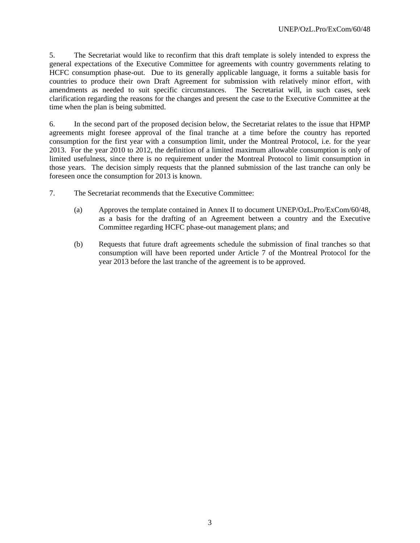5. The Secretariat would like to reconfirm that this draft template is solely intended to express the general expectations of the Executive Committee for agreements with country governments relating to HCFC consumption phase-out. Due to its generally applicable language, it forms a suitable basis for countries to produce their own Draft Agreement for submission with relatively minor effort, with amendments as needed to suit specific circumstances. The Secretariat will, in such cases, seek clarification regarding the reasons for the changes and present the case to the Executive Committee at the time when the plan is being submitted.

6. In the second part of the proposed decision below, the Secretariat relates to the issue that HPMP agreements might foresee approval of the final tranche at a time before the country has reported consumption for the first year with a consumption limit, under the Montreal Protocol, i.e. for the year 2013. For the year 2010 to 2012, the definition of a limited maximum allowable consumption is only of limited usefulness, since there is no requirement under the Montreal Protocol to limit consumption in those years. The decision simply requests that the planned submission of the last tranche can only be foreseen once the consumption for 2013 is known.

- 7. The Secretariat recommends that the Executive Committee:
	- (a) Approves the template contained in Annex II to document UNEP/OzL.Pro/ExCom/60/48, as a basis for the drafting of an Agreement between a country and the Executive Committee regarding HCFC phase-out management plans; and
	- (b) Requests that future draft agreements schedule the submission of final tranches so that consumption will have been reported under Article 7 of the Montreal Protocol for the year 2013 before the last tranche of the agreement is to be approved.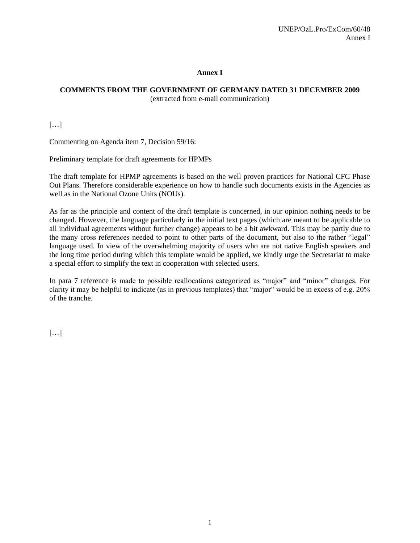#### **Annex I**

# **COMMENTS FROM THE GOVERNMENT OF GERMANY DATED 31 DECEMBER 2009**

(extracted from e-mail communication)

[…]

Commenting on Agenda item 7, Decision 59/16:

Preliminary template for draft agreements for HPMPs

The draft template for HPMP agreements is based on the well proven practices for National CFC Phase Out Plans. Therefore considerable experience on how to handle such documents exists in the Agencies as well as in the National Ozone Units (NOUs).

As far as the principle and content of the draft template is concerned, in our opinion nothing needs to be changed. However, the language particularly in the initial text pages (which are meant to be applicable to all individual agreements without further change) appears to be a bit awkward. This may be partly due to the many cross references needed to point to other parts of the document, but also to the rather "legal" language used. In view of the overwhelming majority of users who are not native English speakers and the long time period during which this template would be applied, we kindly urge the Secretariat to make a special effort to simplify the text in cooperation with selected users.

In para 7 reference is made to possible reallocations categorized as "major" and "minor" changes. For clarity it may be helpful to indicate (as in previous templates) that "major" would be in excess of e.g. 20% of the tranche.

[…]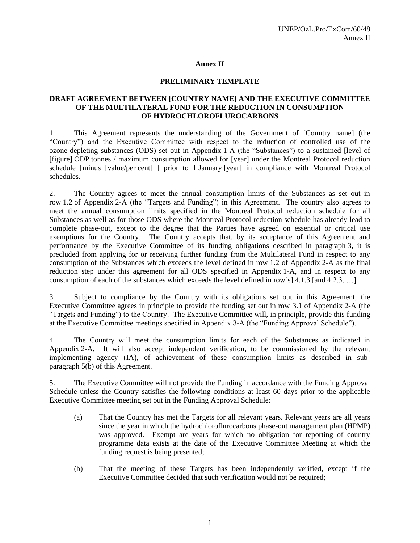#### **Annex II**

#### **PRELIMINARY TEMPLATE**

#### **DRAFT AGREEMENT BETWEEN [COUNTRY NAME] AND THE EXECUTIVE COMMITTEE OF THE MULTILATERAL FUND FOR THE REDUCTION IN CONSUMPTION OF HYDROCHLOROFLUROCARBONS**

1. This Agreement represents the understanding of the Government of [Country name] (the "Country") and the Executive Committee with respect to the reduction of controlled use of the ozone-depleting substances (ODS) set out in Appendix 1-A (the "Substances") to a sustained [level of [figure] ODP tonnes / maximum consumption allowed for [year] under the Montreal Protocol reduction schedule [minus [value/per cent] ] prior to 1 January [year] in compliance with Montreal Protocol schedules.

2. The Country agrees to meet the annual consumption limits of the Substances as set out in row 1.2 of Appendix 2-A (the "Targets and Funding") in this Agreement. The country also agrees to meet the annual consumption limits specified in the Montreal Protocol reduction schedule for all Substances as well as for those ODS where the Montreal Protocol reduction schedule has already lead to complete phase-out, except to the degree that the Parties have agreed on essential or critical use exemptions for the Country. The Country accepts that, by its acceptance of this Agreement and performance by the Executive Committee of its funding obligations described in paragraph 3, it is precluded from applying for or receiving further funding from the Multilateral Fund in respect to any consumption of the Substances which exceeds the level defined in row 1.2 of Appendix 2-A as the final reduction step under this agreement for all ODS specified in Appendix 1-A, and in respect to any consumption of each of the substances which exceeds the level defined in row[s] 4.1.3 [and 4.2.3, …].

3. Subject to compliance by the Country with its obligations set out in this Agreement, the Executive Committee agrees in principle to provide the funding set out in row 3.1 of Appendix 2-A (the "Targets and Funding") to the Country. The Executive Committee will, in principle, provide this funding at the Executive Committee meetings specified in Appendix 3-A (the "Funding Approval Schedule").

4. The Country will meet the consumption limits for each of the Substances as indicated in Appendix 2-A. It will also accept independent verification, to be commissioned by the relevant implementing agency (IA), of achievement of these consumption limits as described in subparagraph 5(b) of this Agreement.

5. The Executive Committee will not provide the Funding in accordance with the Funding Approval Schedule unless the Country satisfies the following conditions at least 60 days prior to the applicable Executive Committee meeting set out in the Funding Approval Schedule:

- (a) That the Country has met the Targets for all relevant years. Relevant years are all years since the year in which the hydrochloroflurocarbons phase-out management plan (HPMP) was approved. Exempt are years for which no obligation for reporting of country programme data exists at the date of the Executive Committee Meeting at which the funding request is being presented;
- (b) That the meeting of these Targets has been independently verified, except if the Executive Committee decided that such verification would not be required;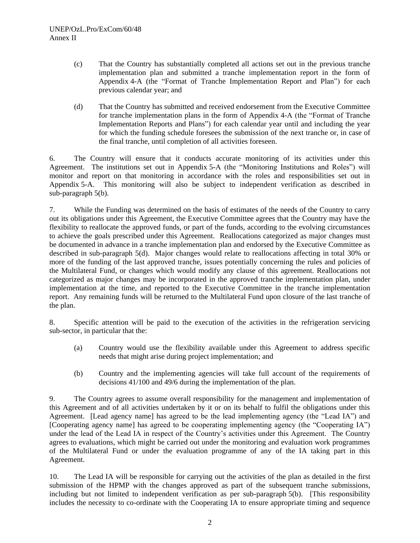- (c) That the Country has substantially completed all actions set out in the previous tranche implementation plan and submitted a tranche implementation report in the form of Appendix 4-A (the "Format of Tranche Implementation Report and Plan") for each previous calendar year; and
- (d) That the Country has submitted and received endorsement from the Executive Committee for tranche implementation plans in the form of Appendix 4-A (the "Format of Tranche Implementation Reports and Plans") for each calendar year until and including the year for which the funding schedule foresees the submission of the next tranche or, in case of the final tranche, until completion of all activities foreseen.

6. The Country will ensure that it conducts accurate monitoring of its activities under this Agreement. The institutions set out in Appendix 5-A (the "Monitoring Institutions and Roles") will monitor and report on that monitoring in accordance with the roles and responsibilities set out in Appendix 5-A. This monitoring will also be subject to independent verification as described in sub-paragraph 5(b).

7. While the Funding was determined on the basis of estimates of the needs of the Country to carry out its obligations under this Agreement, the Executive Committee agrees that the Country may have the flexibility to reallocate the approved funds, or part of the funds, according to the evolving circumstances to achieve the goals prescribed under this Agreement. Reallocations categorized as major changes must be documented in advance in a tranche implementation plan and endorsed by the Executive Committee as described in sub-paragraph 5(d). Major changes would relate to reallocations affecting in total 30% or more of the funding of the last approved tranche, issues potentially concerning the rules and policies of the Multilateral Fund, or changes which would modify any clause of this agreement. Reallocations not categorized as major changes may be incorporated in the approved tranche implementation plan, under implementation at the time, and reported to the Executive Committee in the tranche implementation report. Any remaining funds will be returned to the Multilateral Fund upon closure of the last tranche of the plan.

8. Specific attention will be paid to the execution of the activities in the refrigeration servicing sub-sector, in particular that the:

- (a) Country would use the flexibility available under this Agreement to address specific needs that might arise during project implementation; and
- (b) Country and the implementing agencies will take full account of the requirements of decisions 41/100 and 49/6 during the implementation of the plan.

9. The Country agrees to assume overall responsibility for the management and implementation of this Agreement and of all activities undertaken by it or on its behalf to fulfil the obligations under this Agreement. [Lead agency name] has agreed to be the lead implementing agency (the "Lead IA") and [Cooperating agency name] has agreed to be cooperating implementing agency (the "Cooperating IA") under the lead of the Lead IA in respect of the Country's activities under this Agreement. The Country agrees to evaluations, which might be carried out under the monitoring and evaluation work programmes of the Multilateral Fund or under the evaluation programme of any of the IA taking part in this Agreement.

10. The Lead IA will be responsible for carrying out the activities of the plan as detailed in the first submission of the HPMP with the changes approved as part of the subsequent tranche submissions, including but not limited to independent verification as per sub-paragraph 5(b). [This responsibility includes the necessity to co-ordinate with the Cooperating IA to ensure appropriate timing and sequence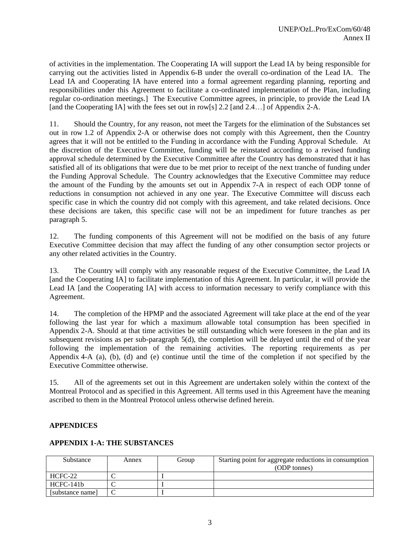of activities in the implementation. The Cooperating IA will support the Lead IA by being responsible for carrying out the activities listed in Appendix 6-B under the overall co-ordination of the Lead IA. The Lead IA and Cooperating IA have entered into a formal agreement regarding planning, reporting and responsibilities under this Agreement to facilitate a co-ordinated implementation of the Plan, including regular co-ordination meetings.] The Executive Committee agrees, in principle, to provide the Lead IA [and the Cooperating IA] with the fees set out in row[s] 2.2 [and 2.4...] of Appendix 2-A.

11. Should the Country, for any reason, not meet the Targets for the elimination of the Substances set out in row 1.2 of Appendix 2-A or otherwise does not comply with this Agreement, then the Country agrees that it will not be entitled to the Funding in accordance with the Funding Approval Schedule. At the discretion of the Executive Committee, funding will be reinstated according to a revised funding approval schedule determined by the Executive Committee after the Country has demonstrated that it has satisfied all of its obligations that were due to be met prior to receipt of the next tranche of funding under the Funding Approval Schedule. The Country acknowledges that the Executive Committee may reduce the amount of the Funding by the amounts set out in Appendix 7-A in respect of each ODP tonne of reductions in consumption not achieved in any one year. The Executive Committee will discuss each specific case in which the country did not comply with this agreement, and take related decisions. Once these decisions are taken, this specific case will not be an impediment for future tranches as per paragraph 5.

12. The funding components of this Agreement will not be modified on the basis of any future Executive Committee decision that may affect the funding of any other consumption sector projects or any other related activities in the Country.

13. The Country will comply with any reasonable request of the Executive Committee, the Lead IA [and the Cooperating IA] to facilitate implementation of this Agreement. In particular, it will provide the Lead IA [and the Cooperating IA] with access to information necessary to verify compliance with this Agreement.

14. The completion of the HPMP and the associated Agreement will take place at the end of the year following the last year for which a maximum allowable total consumption has been specified in Appendix 2-A. Should at that time activities be still outstanding which were foreseen in the plan and its subsequent revisions as per sub-paragraph 5(d), the completion will be delayed until the end of the year following the implementation of the remaining activities. The reporting requirements as per Appendix 4-A (a), (b), (d) and (e) continue until the time of the completion if not specified by the Executive Committee otherwise.

15. All of the agreements set out in this Agreement are undertaken solely within the context of the Montreal Protocol and as specified in this Agreement. All terms used in this Agreement have the meaning ascribed to them in the Montreal Protocol unless otherwise defined herein.

#### **APPENDICES**

#### **APPENDIX 1-A: THE SUBSTANCES**

| Substance        | Annex | Group | Starting point for aggregate reductions in consumption<br>(ODP tonnes) |
|------------------|-------|-------|------------------------------------------------------------------------|
| HCFC-22          |       |       |                                                                        |
| $HCFC-141h$      |       |       |                                                                        |
| [substance name] |       |       |                                                                        |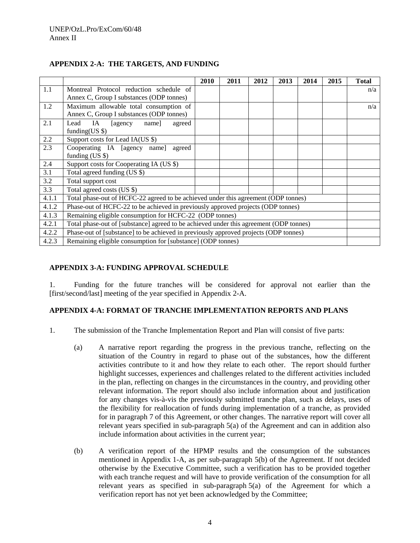|       |                                                                                        | 2010 | 2011 | 2012 | 2013 | 2014 | 2015 | <b>Total</b> |
|-------|----------------------------------------------------------------------------------------|------|------|------|------|------|------|--------------|
| 1.1   | Montreal Protocol reduction schedule of                                                |      |      |      |      |      |      | n/a          |
|       | Annex C, Group I substances (ODP tonnes)                                               |      |      |      |      |      |      |              |
| 1.2   | Maximum allowable total consumption of                                                 |      |      |      |      |      |      | n/a          |
|       | Annex C, Group I substances (ODP tonnes)                                               |      |      |      |      |      |      |              |
| 2.1   | Lead<br>IA<br>[agency]<br>name]<br>agreed                                              |      |      |      |      |      |      |              |
|       | funding $(US \$                                                                        |      |      |      |      |      |      |              |
| 2.2   | Support costs for Lead IA(US \$)                                                       |      |      |      |      |      |      |              |
| 2.3   | Cooperating IA [agency name]<br>agreed                                                 |      |      |      |      |      |      |              |
|       | funding $(US \$                                                                        |      |      |      |      |      |      |              |
| 2.4   | Support costs for Cooperating IA (US \$)                                               |      |      |      |      |      |      |              |
| 3.1   | Total agreed funding (US \$)                                                           |      |      |      |      |      |      |              |
| 3.2   | Total support cost                                                                     |      |      |      |      |      |      |              |
| 3.3   | Total agreed costs (US \$)                                                             |      |      |      |      |      |      |              |
| 4.1.1 | Total phase-out of HCFC-22 agreed to be achieved under this agreement (ODP tonnes)     |      |      |      |      |      |      |              |
| 4.1.2 | Phase-out of HCFC-22 to be achieved in previously approved projects (ODP tonnes)       |      |      |      |      |      |      |              |
| 4.1.3 | Remaining eligible consumption for HCFC-22 (ODP tonnes)                                |      |      |      |      |      |      |              |
| 4.2.1 | Total phase-out of [substance] agreed to be achieved under this agreement (ODP tonnes) |      |      |      |      |      |      |              |
| 4.2.2 | Phase-out of [substance] to be achieved in previously approved projects (ODP tonnes)   |      |      |      |      |      |      |              |
| 4.2.3 | Remaining eligible consumption for [substance] (ODP tonnes)                            |      |      |      |      |      |      |              |

## **APPENDIX 2-A: THE TARGETS, AND FUNDING**

#### **APPENDIX 3-A: FUNDING APPROVAL SCHEDULE**

1. Funding for the future tranches will be considered for approval not earlier than the [first/second/last] meeting of the year specified in Appendix 2-A.

## **APPENDIX 4-A: FORMAT OF TRANCHE IMPLEMENTATION REPORTS AND PLANS**

- 1. The submission of the Tranche Implementation Report and Plan will consist of five parts:
	- (a) A narrative report regarding the progress in the previous tranche, reflecting on the situation of the Country in regard to phase out of the substances, how the different activities contribute to it and how they relate to each other. The report should further highlight successes, experiences and challenges related to the different activities included in the plan, reflecting on changes in the circumstances in the country, and providing other relevant information. The report should also include information about and justification for any changes vis-à-vis the previously submitted tranche plan, such as delays, uses of the flexibility for reallocation of funds during implementation of a tranche, as provided for in paragraph 7 of this Agreement, or other changes. The narrative report will cover all relevant years specified in sub-paragraph 5(a) of the Agreement and can in addition also include information about activities in the current year;
	- (b) A verification report of the HPMP results and the consumption of the substances mentioned in Appendix 1-A, as per sub-paragraph 5(b) of the Agreement. If not decided otherwise by the Executive Committee, such a verification has to be provided together with each tranche request and will have to provide verification of the consumption for all relevant years as specified in sub-paragraph 5(a) of the Agreement for which a verification report has not yet been acknowledged by the Committee;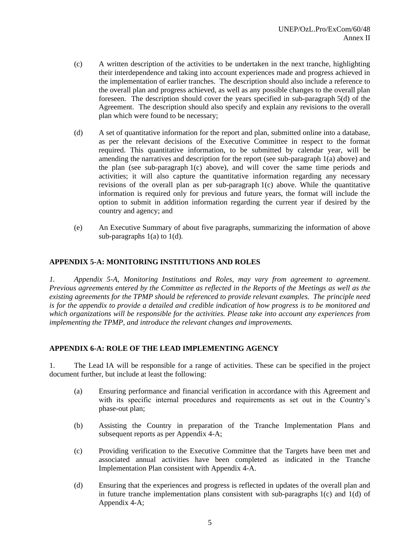- (c) A written description of the activities to be undertaken in the next tranche, highlighting their interdependence and taking into account experiences made and progress achieved in the implementation of earlier tranches. The description should also include a reference to the overall plan and progress achieved, as well as any possible changes to the overall plan foreseen. The description should cover the years specified in sub-paragraph 5(d) of the Agreement. The description should also specify and explain any revisions to the overall plan which were found to be necessary;
- (d) A set of quantitative information for the report and plan, submitted online into a database, as per the relevant decisions of the Executive Committee in respect to the format required. This quantitative information, to be submitted by calendar year, will be amending the narratives and description for the report (see sub-paragraph 1(a) above) and the plan (see sub-paragraph 1(c) above), and will cover the same time periods and activities; it will also capture the quantitative information regarding any necessary revisions of the overall plan as per sub-paragraph 1(c) above. While the quantitative information is required only for previous and future years, the format will include the option to submit in addition information regarding the current year if desired by the country and agency; and
- (e) An Executive Summary of about five paragraphs, summarizing the information of above sub-paragraphs  $1(a)$  to  $1(d)$ .

## **APPENDIX 5-A: MONITORING INSTITUTIONS AND ROLES**

*1. Appendix 5-A, Monitoring Institutions and Roles, may vary from agreement to agreement. Previous agreements entered by the Committee as reflected in the Reports of the Meetings as well as the existing agreements for the TPMP should be referenced to provide relevant examples. The principle need is for the appendix to provide a detailed and credible indication of how progress is to be monitored and which organizations will be responsible for the activities. Please take into account any experiences from implementing the TPMP, and introduce the relevant changes and improvements.*

#### **APPENDIX 6-A: ROLE OF THE LEAD IMPLEMENTING AGENCY**

1. The Lead IA will be responsible for a range of activities. These can be specified in the project document further, but include at least the following:

- (a) Ensuring performance and financial verification in accordance with this Agreement and with its specific internal procedures and requirements as set out in the Country's phase-out plan;
- (b) Assisting the Country in preparation of the Tranche Implementation Plans and subsequent reports as per Appendix 4-A;
- (c) Providing verification to the Executive Committee that the Targets have been met and associated annual activities have been completed as indicated in the Tranche Implementation Plan consistent with Appendix 4-A.
- (d) Ensuring that the experiences and progress is reflected in updates of the overall plan and in future tranche implementation plans consistent with sub-paragraphs 1(c) and 1(d) of Appendix 4-A;